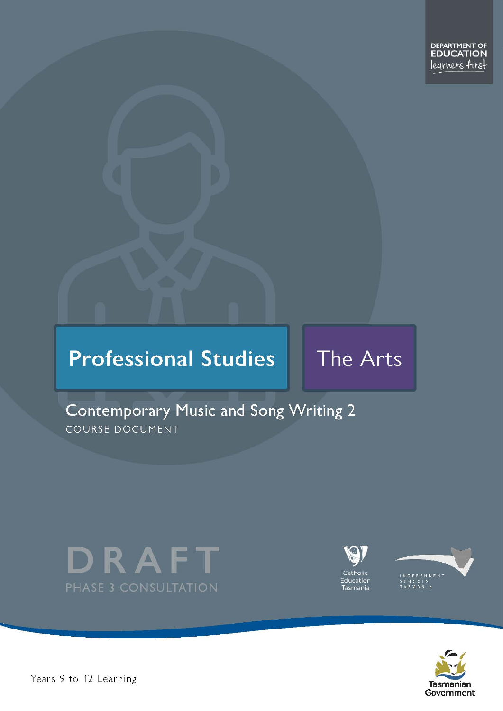# **Professional Studies**

# The Arts

# Contemporary Music and Song Writing 2 COURSE DOCUMENT







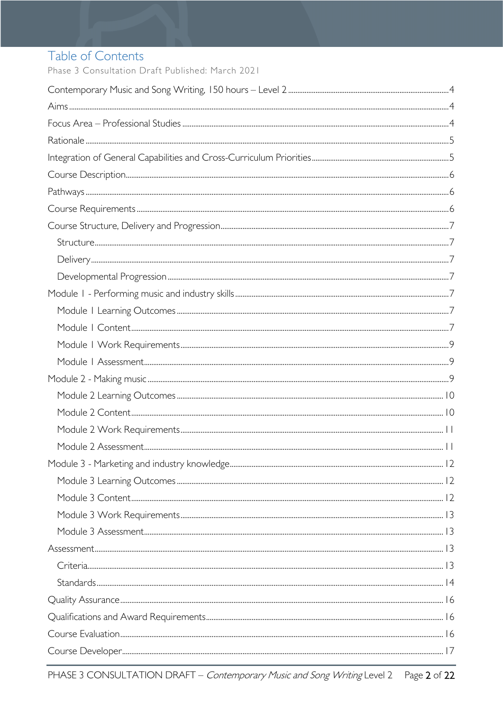# Table of Contents

Phase 3 Consultation Draft Published: March 2021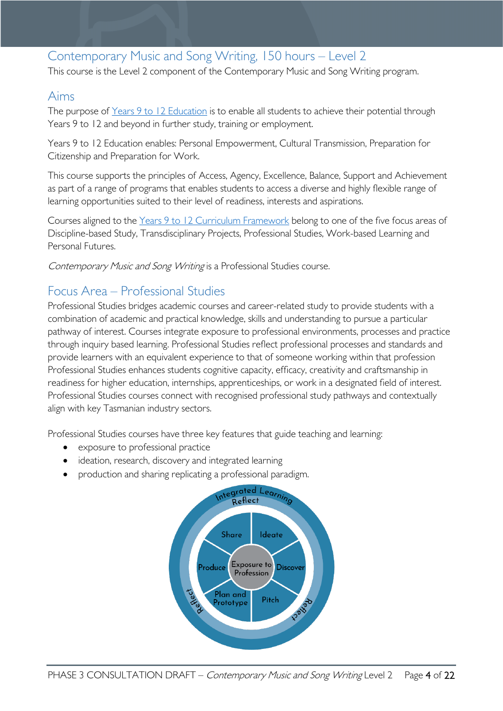# <span id="page-3-0"></span>Contemporary Music and Song Writing, 150 hours – Level 2

This course is the Level 2 component of the Contemporary Music and Song Writing program.

# <span id="page-3-1"></span>Aims

The purpose of Years 9 to 12 [Education](https://publicdocumentcentre.education.tas.gov.au/library/Shared%20Documents/Years-9-to-12-Education-Framework.pdf) is to enable all students to achieve their potential through Years 9 to 12 and beyond in further study, training or employment.

Years 9 to 12 Education enables: Personal Empowerment, Cultural Transmission, Preparation for Citizenship and Preparation for Work.

This course supports the principles of Access, Agency, Excellence, Balance, Support and Achievement as part of a range of programs that enables students to access a diverse and highly flexible range of learning opportunities suited to their level of readiness, interests and aspirations.

Courses aligned to the Years 9 to 12 Curriculum [Framework](https://publicdocumentcentre.education.tas.gov.au/library/Shared%20Documents/Education%209-12%20Frameworks%20A3%20WEB%20POSTER.pdf) belong to one of the five focus areas of Discipline-based Study, Transdisciplinary Projects, Professional Studies, Work-based Learning and Personal Futures.

Contemporary Music and Song Writing is a Professional Studies course.

# <span id="page-3-2"></span>Focus Area – Professional Studies

Professional Studies bridges academic courses and career-related study to provide students with a combination of academic and practical knowledge, skills and understanding to pursue a particular pathway of interest. Courses integrate exposure to professional environments, processes and practice through inquiry based learning. Professional Studies reflect professional processes and standards and provide learners with an equivalent experience to that of someone working within that profession Professional Studies enhances students cognitive capacity, efficacy, creativity and craftsmanship in readiness for higher education, internships, apprenticeships, or work in a designated field of interest. Professional Studies courses connect with recognised professional study pathways and contextually align with key Tasmanian industry sectors.

Professional Studies courses have three key features that guide teaching and learning:

- exposure to professional practice
- ideation, research, discovery and integrated learning
- production and sharing replicating a professional paradigm.

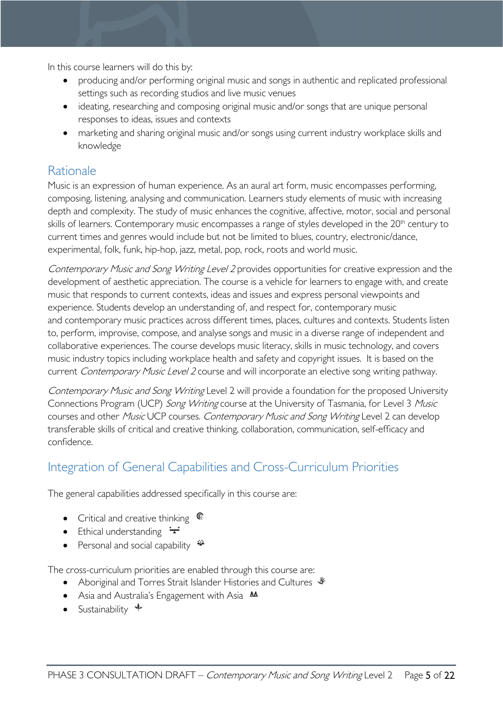In this course learners will do this by:

- producing and/or performing original music and songs in authentic and replicated professional settings such as recording studios and live music venues
- ideating, researching and composing original music and/or songs that are unique personal responses to ideas, issues and contexts
- marketing and sharing original music and/or songs using current industry workplace skills and knowledge

# <span id="page-4-0"></span>Rationale

Music is an expression of human experience. As an aural art form, music encompasses performing, composing, listening, analysing and communication. Learners study elements of music with increasing depth and complexity. The study of music enhances the cognitive, affective, motor, social and personal skills of learners. Contemporary music encompasses a range of styles developed in the 20<sup>th</sup> century to current times and genres would include but not be limited to blues, country, electronic/dance, experimental, folk, funk, hip-hop, jazz, metal, pop, rock, roots and world music.

Contemporary Music and Song Writing Level 2 provides opportunities for creative expression and the development of aesthetic appreciation. The course is a vehicle for learners to engage with, and create music that responds to current contexts, ideas and issues and express personal viewpoints and experience. Students develop an understanding of, and respect for, contemporary music and contemporary music practices across different times, places, cultures and contexts. Students listen to, perform, improvise, compose, and analyse songs and music in a diverse range of independent and collaborative experiences. The course develops music literacy, skills in music technology, and covers music industry topics including workplace health and safety and copyright issues. It is based on the current *Contemporary Music Level 2* course and will incorporate an elective song writing pathway.

Contemporary Music and Song Writing Level 2 will provide a foundation for the proposed University Connections Program (UCP) Song Writing course at the University of Tasmania, for Level 3 Music courses and other Music UCP courses. Contemporary Music and Song Writing Level 2 can develop transferable skills of critical and creative thinking, collaboration, communication, self-efficacy and confidence.

# <span id="page-4-1"></span>Integration of General Capabilities and Cross-Curriculum Priorities

The general capabilities addressed specifically in this course are:

- Critical and creative thinking  $\mathbb{C}$
- Ethical understanding  $\div$
- Personal and social capability

The cross-curriculum priorities are enabled through this course are:

- Aboriginal and Torres Strait Islander Histories and Cultures  $\mathscr W$
- Asia and Australia's Engagement with Asia **MA**
- Sustainability  $\triangleleft$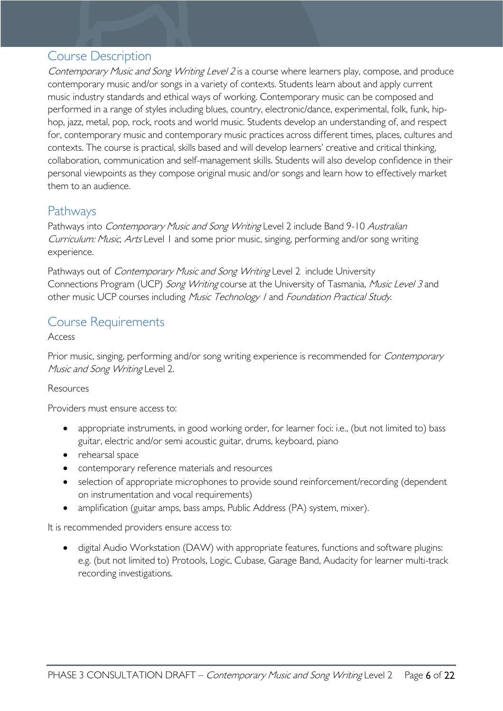# <span id="page-5-0"></span>Course Description

Contemporary Music and Song Writing Level 2 is a course where learners play, compose, and produce contemporary music and/or songs in a variety of contexts. Students learn about and apply current music industry standards and ethical ways of working. Contemporary music can be composed and performed in a range of styles including blues, country, electronic/dance, experimental, folk, funk, hiphop, jazz, metal, pop, rock, roots and world music. Students develop an understanding of, and respect for, contemporary music and contemporary music practices across different times, places, cultures and contexts. The course is practical, skills based and will develop learners' creative and critical thinking, collaboration, communication and self-management skills. Students will also develop confidence in their personal viewpoints as they compose original music and/or songs and learn how to effectively market them to an audience.

## <span id="page-5-1"></span>Pathways

Pathways into Contemporary Music and Song Writing Level 2 include Band 9-10 Australian Curriculum: Music, Arts Level 1 and some prior music, singing, performing and/or song writing experience.

Pathways out of *Contemporary Music and Song Writing* Level 2 include University Connections Program (UCP) Song Writing course at the University of Tasmania, Music Level 3 and other music UCP courses including Music Technology I and Foundation Practical Study.

# <span id="page-5-2"></span>Course Requirements

#### Access

Prior music, singing, performing and/or song writing experience is recommended for *Contemporary* Music and Song Writing Level 2.

#### Resources

Providers must ensure access to:

- appropriate instruments, in good working order, for learner foci: i.e., (but not limited to) bass guitar, electric and/or semi acoustic guitar, drums, keyboard, piano
- rehearsal space
- contemporary reference materials and resources
- selection of appropriate microphones to provide sound reinforcement/recording (dependent on instrumentation and vocal requirements)
- amplification (guitar amps, bass amps, Public Address (PA) system, mixer).

It is recommended providers ensure access to:

• digital Audio Workstation (DAW) with appropriate features, functions and software plugins: e.g. (but not limited to) Protools, Logic, Cubase, Garage Band, Audacity for learner multi-track recording investigations.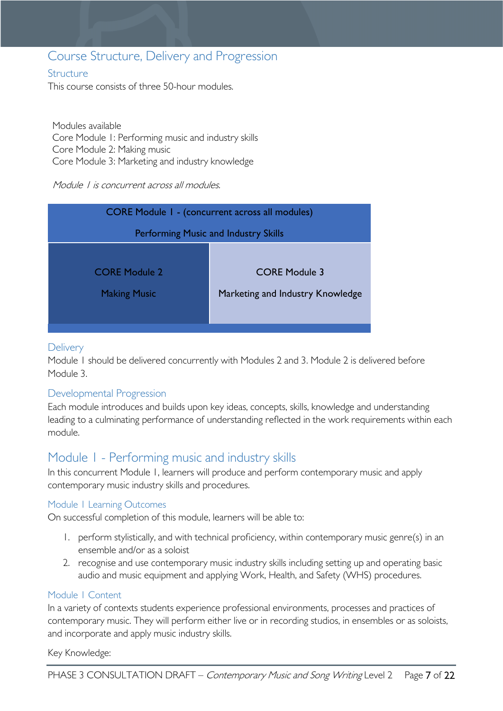# <span id="page-6-0"></span>Course Structure, Delivery and Progression

#### <span id="page-6-1"></span>**Structure**

This course consists of three 50-hour modules.

Modules available Core Module 1: Performing music and industry skills Core Module 2: Making music Core Module 3: Marketing and industry knowledge

#### Module 1 is concurrent across all modules.

| <b>CORE Module 1 - (concurrent across all modules)</b> |                                                          |  |  |
|--------------------------------------------------------|----------------------------------------------------------|--|--|
| Performing Music and Industry Skills                   |                                                          |  |  |
| <b>CORE Module 2</b><br><b>Making Music</b>            | <b>CORE Module 3</b><br>Marketing and Industry Knowledge |  |  |

#### <span id="page-6-2"></span>**Delivery**

Module 1 should be delivered concurrently with Modules 2 and 3. Module 2 is delivered before Module 3.

#### <span id="page-6-3"></span>Developmental Progression

Each module introduces and builds upon key ideas, concepts, skills, knowledge and understanding leading to a culminating performance of understanding reflected in the work requirements within each module.

## <span id="page-6-4"></span>Module 1 - Performing music and industry skills

In this concurrent Module 1, learners will produce and perform contemporary music and apply contemporary music industry skills and procedures.

#### <span id="page-6-5"></span>Module 1 Learning Outcomes

On successful completion of this module, learners will be able to:

- 1. perform stylistically, and with technical proficiency, within contemporary music genre(s) in an ensemble and/or as a soloist
- 2. recognise and use contemporary music industry skills including setting up and operating basic audio and music equipment and applying Work, Health, and Safety (WHS) procedures.

#### <span id="page-6-6"></span>Module 1 Content

In a variety of contexts students experience professional environments, processes and practices of contemporary music. They will perform either live or in recording studios, in ensembles or as soloists, and incorporate and apply music industry skills.

Key Knowledge: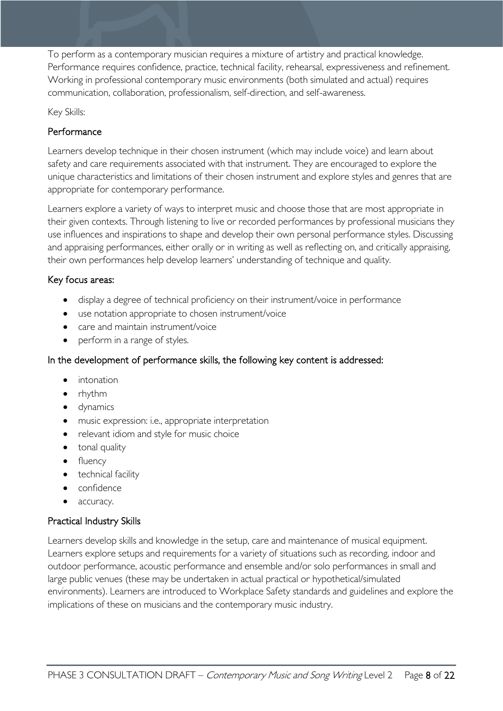To perform as a contemporary musician requires a mixture of artistry and practical knowledge. Performance requires confidence, practice, technical facility, rehearsal, expressiveness and refinement. Working in professional contemporary music environments (both simulated and actual) requires communication, collaboration, professionalism, self-direction, and self-awareness.

Key Skills:

### Performance

Learners develop technique in their chosen instrument (which may include voice) and learn about safety and care requirements associated with that instrument. They are encouraged to explore the unique characteristics and limitations of their chosen instrument and explore styles and genres that are appropriate for contemporary performance.

Learners explore a variety of ways to interpret music and choose those that are most appropriate in their given contexts. Through listening to live or recorded performances by professional musicians they use influences and inspirations to shape and develop their own personal performance styles. Discussing and appraising performances, either orally or in writing as well as reflecting on, and critically appraising, their own performances help develop learners' understanding of technique and quality.

#### Key focus areas:

- display a degree of technical proficiency on their instrument/voice in performance
- use notation appropriate to chosen instrument/voice
- care and maintain instrument/voice
- perform in a range of styles.

### In the development of performance skills, the following key content is addressed:

- intonation
- rhythm
- dynamics
- music expression: i.e., appropriate interpretation
- relevant idiom and style for music choice
- tonal quality
- fluency
- technical facility
- confidence
- accuracy.

### Practical Industry Skills

Learners develop skills and knowledge in the setup, care and maintenance of musical equipment. Learners explore setups and requirements for a variety of situations such as recording, indoor and outdoor performance, acoustic performance and ensemble and/or solo performances in small and large public venues (these may be undertaken in actual practical or hypothetical/simulated environments). Learners are introduced to Workplace Safety standards and guidelines and explore the implications of these on musicians and the contemporary music industry.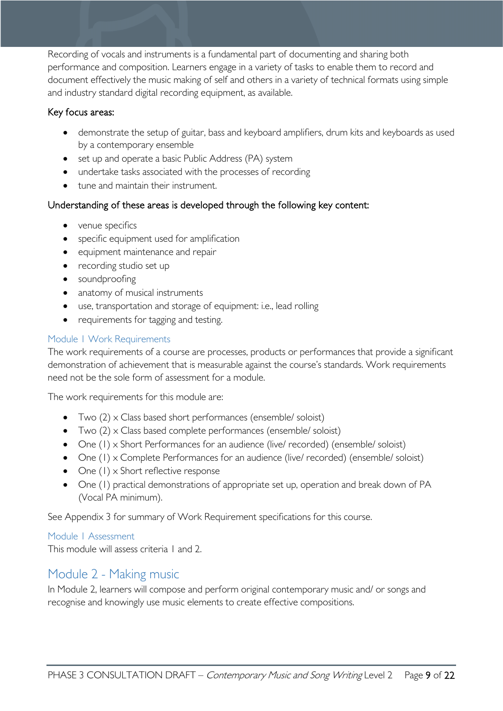Recording of vocals and instruments is a fundamental part of documenting and sharing both performance and composition. Learners engage in a variety of tasks to enable them to record and document effectively the music making of self and others in a variety of technical formats using simple and industry standard digital recording equipment, as available.

#### Key focus areas:

- demonstrate the setup of guitar, bass and keyboard amplifiers, drum kits and keyboards as used by a contemporary ensemble
- set up and operate a basic Public Address (PA) system
- undertake tasks associated with the processes of recording
- tune and maintain their instrument.

#### Understanding of these areas is developed through the following key content:

- venue specifics
- specific equipment used for amplification
- equipment maintenance and repair
- recording studio set up
- soundproofing
- anatomy of musical instruments
- use, transportation and storage of equipment: i.e., lead rolling
- requirements for tagging and testing.

#### <span id="page-8-0"></span>Module 1 Work Requirements

The work requirements of a course are processes, products or performances that provide a significant demonstration of achievement that is measurable against the course's standards. Work requirements need not be the sole form of assessment for a module.

The work requirements for this module are:

- Two (2) x Class based short performances (ensemble/ soloist)
- Two (2) x Class based complete performances (ensemble/ soloist)
- One (1) x Short Performances for an audience (live/ recorded) (ensemble/ soloist)
- One (1) x Complete Performances for an audience (live/ recorded) (ensemble/ soloist)
- One (1) x Short reflective response
- One (1) practical demonstrations of appropriate set up, operation and break down of PA (Vocal PA minimum).

See Appendix 3 for summary of Work Requirement specifications for this course.

<span id="page-8-1"></span>Module 1 Assessment

This module will assess criteria 1 and 2.

# <span id="page-8-2"></span>Module 2 - Making music

In Module 2, learners will compose and perform original contemporary music and/ or songs and recognise and knowingly use music elements to create effective compositions.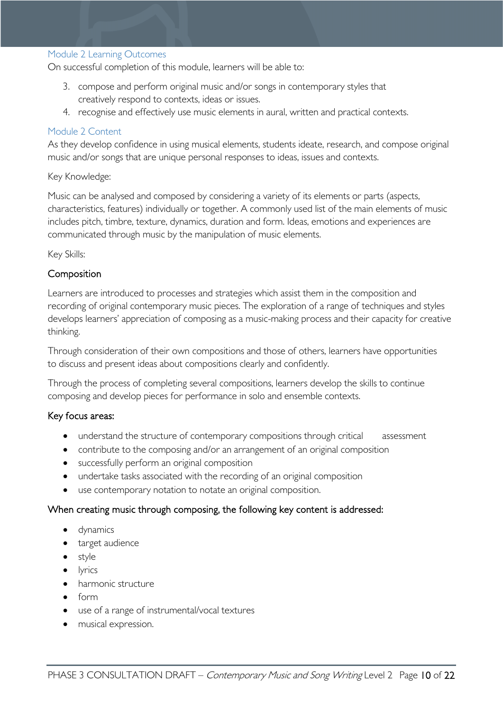#### <span id="page-9-0"></span>Module 2 Learning Outcomes

On successful completion of this module, learners will be able to:

- 3. compose and perform original music and/or songs in contemporary styles that creatively respond to contexts, ideas or issues.
- 4. recognise and effectively use music elements in aural, written and practical contexts.

#### <span id="page-9-1"></span>Module 2 Content

As they develop confidence in using musical elements, students ideate, research, and compose original music and/or songs that are unique personal responses to ideas, issues and contexts.

#### Key Knowledge:

Music can be analysed and composed by considering a variety of its elements or parts (aspects, characteristics, features) individually or together. A commonly used list of the main elements of music includes pitch, timbre, texture, dynamics, duration and form. Ideas, emotions and experiences are communicated through music by the manipulation of music elements.

Key Skills:

#### Composition

Learners are introduced to processes and strategies which assist them in the composition and recording of original contemporary music pieces. The exploration of a range of techniques and styles develops learners' appreciation of composing as a music-making process and their capacity for creative thinking.

Through consideration of their own compositions and those of others, learners have opportunities to discuss and present ideas about compositions clearly and confidently.

Through the process of completing several compositions, learners develop the skills to continue composing and develop pieces for performance in solo and ensemble contexts.

#### Key focus areas:

- understand the structure of contemporary compositions through critical assessment
- contribute to the composing and/or an arrangement of an original composition
- successfully perform an original composition
- undertake tasks associated with the recording of an original composition
- use contemporary notation to notate an original composition.

#### When creating music through composing, the following key content is addressed:

- dynamics
- target audience
- style
- lyrics
- harmonic structure
- form
- use of a range of instrumental/vocal textures
- musical expression.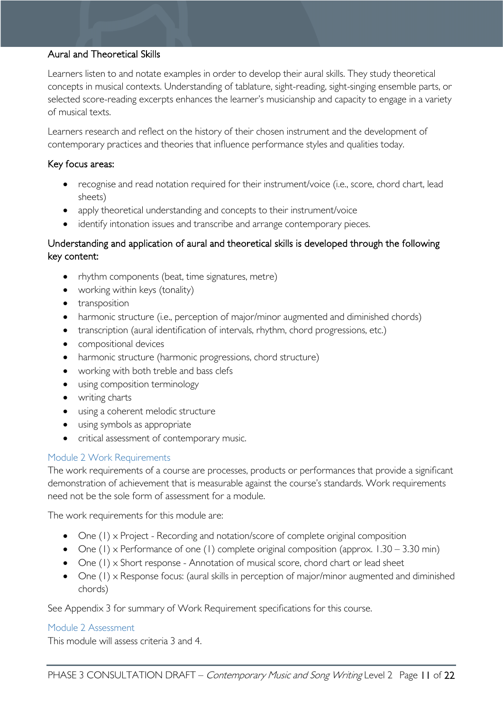#### Aural and Theoretical Skills

Learners listen to and notate examples in order to develop their aural skills. They study theoretical concepts in musical contexts. Understanding of tablature, sight-reading, sight-singing ensemble parts, or selected score-reading excerpts enhances the learner's musicianship and capacity to engage in a variety of musical texts.

Learners research and reflect on the history of their chosen instrument and the development of contemporary practices and theories that influence performance styles and qualities today.

#### Key focus areas:

- recognise and read notation required for their instrument/voice (i.e., score, chord chart, lead sheets)
- apply theoretical understanding and concepts to their instrument/voice
- identify intonation issues and transcribe and arrange contemporary pieces.

#### Understanding and application of aural and theoretical skills is developed through the following key content:

- rhythm components (beat, time signatures, metre)
- working within keys (tonality)
- transposition
- harmonic structure (i.e., perception of major/minor augmented and diminished chords)
- transcription (aural identification of intervals, rhythm, chord progressions, etc.)
- compositional devices
- harmonic structure (harmonic progressions, chord structure)
- working with both treble and bass clefs
- using composition terminology
- writing charts
- using a coherent melodic structure
- using symbols as appropriate
- critical assessment of contemporary music.

#### <span id="page-10-0"></span>Module 2 Work Requirements

The work requirements of a course are processes, products or performances that provide a significant demonstration of achievement that is measurable against the course's standards. Work requirements need not be the sole form of assessment for a module.

The work requirements for this module are:

- One (1) x Project Recording and notation/score of complete original composition
- One (1) x Performance of one (1) complete original composition (approx.  $1.30 3.30$  min)
- One (1) x Short response Annotation of musical score, chord chart or lead sheet
- One (1) x Response focus: (aural skills in perception of major/minor augmented and diminished chords)

See Appendix 3 for summary of Work Requirement specifications for this course.

#### <span id="page-10-1"></span>Module 2 Assessment

This module will assess criteria 3 and 4.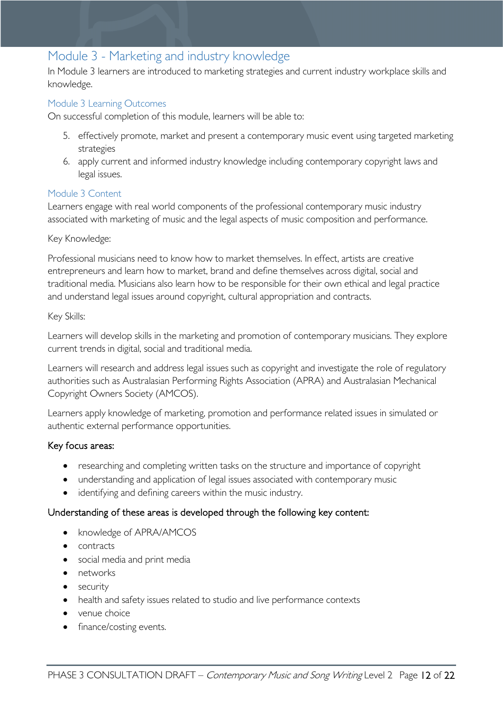# <span id="page-11-0"></span>Module 3 - Marketing and industry knowledge

In Module 3 learners are introduced to marketing strategies and current industry workplace skills and knowledge.

#### <span id="page-11-1"></span>Module 3 Learning Outcomes

On successful completion of this module, learners will be able to:

- 5. effectively promote, market and present a contemporary music event using targeted marketing strategies
- 6. apply current and informed industry knowledge including contemporary copyright laws and legal issues.

#### <span id="page-11-2"></span>Module 3 Content

Learners engage with real world components of the professional contemporary music industry associated with marketing of music and the legal aspects of music composition and performance.

#### Key Knowledge:

Professional musicians need to know how to market themselves. In effect, artists are creative entrepreneurs and learn how to market, brand and define themselves across digital, social and traditional media. Musicians also learn how to be responsible for their own ethical and legal practice and understand legal issues around copyright, cultural appropriation and contracts.

#### Key Skills:

Learners will develop skills in the marketing and promotion of contemporary musicians. They explore current trends in digital, social and traditional media.

Learners will research and address legal issues such as copyright and investigate the role of regulatory authorities such as Australasian Performing Rights Association (APRA) and Australasian Mechanical Copyright Owners Society (AMCOS).

Learners apply knowledge of marketing, promotion and performance related issues in simulated or authentic external performance opportunities.

#### Key focus areas:

- researching and completing written tasks on the structure and importance of copyright
- understanding and application of legal issues associated with contemporary music
- identifying and defining careers within the music industry.

#### Understanding of these areas is developed through the following key content:

- knowledge of APRA/AMCOS
- contracts
- social media and print media
- networks
- security
- health and safety issues related to studio and live performance contexts
- venue choice
- finance/costing events.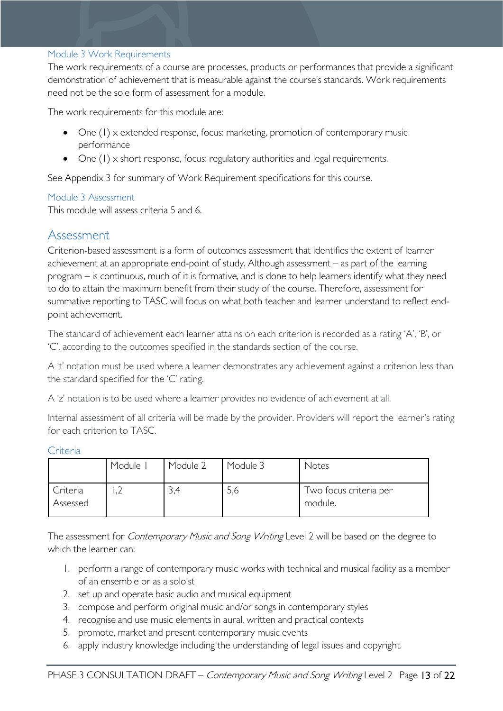#### <span id="page-12-0"></span>Module 3 Work Requirements

The work requirements of a course are processes, products or performances that provide a significant demonstration of achievement that is measurable against the course's standards. Work requirements need not be the sole form of assessment for a module.

The work requirements for this module are:

- One (1) x extended response, focus: marketing, promotion of contemporary music performance
- One (1) x short response, focus: regulatory authorities and legal requirements.

See Appendix 3 for summary of Work Requirement specifications for this course.

#### <span id="page-12-1"></span>Module 3 Assessment

This module will assess criteria 5 and 6.

### <span id="page-12-2"></span>Assessment

Criterion-based assessment is a form of outcomes assessment that identifies the extent of learner achievement at an appropriate end-point of study. Although assessment – as part of the learning program – is continuous, much of it is formative, and is done to help learners identify what they need to do to attain the maximum benefit from their study of the course. Therefore, assessment for summative reporting to TASC will focus on what both teacher and learner understand to reflect endpoint achievement.

The standard of achievement each learner attains on each criterion is recorded as a rating 'A', 'B', or 'C', according to the outcomes specified in the standards section of the course.

A 't' notation must be used where a learner demonstrates any achievement against a criterion less than the standard specified for the 'C' rating.

A 'z' notation is to be used where a learner provides no evidence of achievement at all.

Internal assessment of all criteria will be made by the provider. Providers will report the learner's rating for each criterion to TASC.

#### <span id="page-12-3"></span>Criteria

|                      | Module I | Module 2 | Module 3 | Notes                             |
|----------------------|----------|----------|----------|-----------------------------------|
| Criteria<br>Assessed | ے ،      | 3,4      | J,6      | Two focus criteria per<br>module. |

The assessment for *Contemporary Music and Song Writing* Level 2 will be based on the degree to which the learner can:

- 1. perform a range of contemporary music works with technical and musical facility as a member of an ensemble or as a soloist
- 2. set up and operate basic audio and musical equipment
- 3. compose and perform original music and/or songs in contemporary styles
- 4. recognise and use music elements in aural, written and practical contexts
- 5. promote, market and present contemporary music events
- 6. apply industry knowledge including the understanding of legal issues and copyright.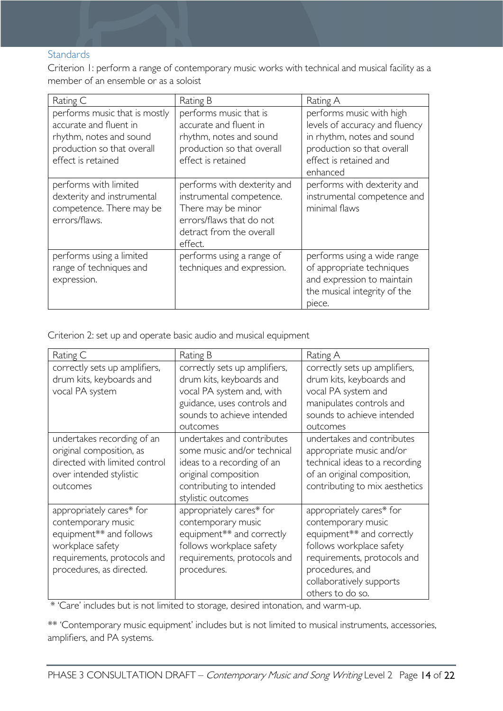#### <span id="page-13-0"></span>**Standards**

Criterion 1: perform a range of contemporary music works with technical and musical facility as a member of an ensemble or as a soloist

| Rating C                                                                                                                               | Rating B                                                                                                                                         | Rating A                                                                                                                                                     |
|----------------------------------------------------------------------------------------------------------------------------------------|--------------------------------------------------------------------------------------------------------------------------------------------------|--------------------------------------------------------------------------------------------------------------------------------------------------------------|
| performs music that is mostly<br>accurate and fluent in<br>rhythm, notes and sound<br>production so that overall<br>effect is retained | performs music that is<br>accurate and fluent in<br>rhythm, notes and sound<br>production so that overall<br>effect is retained                  | performs music with high<br>levels of accuracy and fluency<br>in rhythm, notes and sound<br>production so that overall<br>effect is retained and<br>enhanced |
| performs with limited<br>dexterity and instrumental<br>competence. There may be<br>errors/flaws.                                       | performs with dexterity and<br>instrumental competence.<br>There may be minor<br>errors/flaws that do not<br>detract from the overall<br>effect. | performs with dexterity and<br>instrumental competence and<br>minimal flaws                                                                                  |
| performs using a limited<br>range of techniques and<br>expression.                                                                     | performs using a range of<br>techniques and expression.                                                                                          | performs using a wide range<br>of appropriate techniques<br>and expression to maintain<br>the musical integrity of the<br>piece.                             |

Criterion 2: set up and operate basic audio and musical equipment

| Rating C                                                                                                                                                 | Rating B                                                                                                                                                          | Rating A                                                                                                                                                                                                  |
|----------------------------------------------------------------------------------------------------------------------------------------------------------|-------------------------------------------------------------------------------------------------------------------------------------------------------------------|-----------------------------------------------------------------------------------------------------------------------------------------------------------------------------------------------------------|
| correctly sets up amplifiers,<br>drum kits, keyboards and<br>vocal PA system                                                                             | correctly sets up amplifiers,<br>drum kits, keyboards and<br>vocal PA system and, with<br>guidance, uses controls and<br>sounds to achieve intended<br>outcomes   | correctly sets up amplifiers,<br>drum kits, keyboards and<br>vocal PA system and<br>manipulates controls and<br>sounds to achieve intended<br>outcomes                                                    |
| undertakes recording of an<br>original composition, as<br>directed with limited control<br>over intended stylistic<br>outcomes                           | undertakes and contributes<br>some music and/or technical<br>ideas to a recording of an<br>original composition<br>contributing to intended<br>stylistic outcomes | undertakes and contributes<br>appropriate music and/or<br>technical ideas to a recording<br>of an original composition,<br>contributing to mix aesthetics                                                 |
| appropriately cares* for<br>contemporary music<br>equipment** and follows<br>workplace safety<br>requirements, protocols and<br>procedures, as directed. | appropriately cares* for<br>contemporary music<br>equipment** and correctly<br>follows workplace safety<br>requirements, protocols and<br>procedures.             | appropriately cares* for<br>contemporary music<br>equipment** and correctly<br>follows workplace safety<br>requirements, protocols and<br>procedures, and<br>collaboratively supports<br>others to do so. |

\* 'Care' includes but is not limited to storage, desired intonation, and warm-up.

\*\* 'Contemporary music equipment' includes but is not limited to musical instruments, accessories, amplifiers, and PA systems.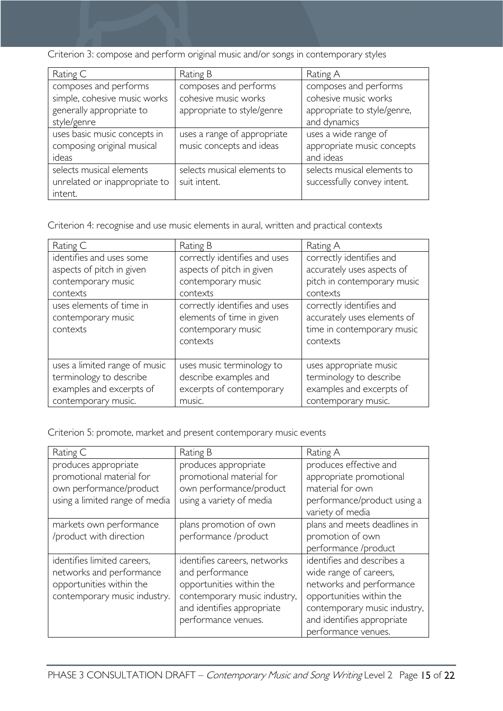Criterion 3: compose and perform original music and/or songs in contemporary styles

| Rating C                                                             | Rating B                                                | Rating A                                                        |
|----------------------------------------------------------------------|---------------------------------------------------------|-----------------------------------------------------------------|
| composes and performs<br>simple, cohesive music works                | composes and performs<br>cohesive music works           | composes and performs<br>cohesive music works                   |
| generally appropriate to                                             | appropriate to style/genre                              | appropriate to style/genre,                                     |
| style/genre                                                          |                                                         | and dynamics                                                    |
| uses basic music concepts in<br>composing original musical<br>ideas  | uses a range of appropriate<br>music concepts and ideas | uses a wide range of<br>appropriate music concepts<br>and ideas |
| selects musical elements<br>unrelated or inappropriate to<br>intent. | selects musical elements to<br>suit intent.             | selects musical elements to<br>successfully convey intent.      |

Criterion 4: recognise and use music elements in aural, written and practical contexts

| Rating C                                                                                                    | Rating B                                                                                     | Rating A                                                                                             |  |
|-------------------------------------------------------------------------------------------------------------|----------------------------------------------------------------------------------------------|------------------------------------------------------------------------------------------------------|--|
| identifies and uses some                                                                                    | correctly identifies and uses                                                                | correctly identifies and                                                                             |  |
| aspects of pitch in given                                                                                   | aspects of pitch in given                                                                    | accurately uses aspects of                                                                           |  |
| contemporary music                                                                                          | contemporary music                                                                           | pitch in contemporary music                                                                          |  |
| contexts                                                                                                    | contexts                                                                                     | contexts                                                                                             |  |
| uses elements of time in<br>contemporary music<br>contexts                                                  | correctly identifies and uses<br>elements of time in given<br>contemporary music<br>contexts | correctly identifies and<br>accurately uses elements of<br>time in contemporary music<br>contexts    |  |
| uses a limited range of music<br>terminology to describe<br>examples and excerpts of<br>contemporary music. | uses music terminology to<br>describe examples and<br>excerpts of contemporary<br>music.     | uses appropriate music<br>terminology to describe<br>examples and excerpts of<br>contemporary music. |  |

Criterion 5: promote, market and present contemporary music events

| Rating C                       | Rating B                     | Rating A                     |  |
|--------------------------------|------------------------------|------------------------------|--|
| produces appropriate           | produces appropriate         | produces effective and       |  |
| promotional material for       | promotional material for     | appropriate promotional      |  |
| own performance/product        | own performance/product      | material for own             |  |
| using a limited range of media | using a variety of media     | performance/product using a  |  |
|                                |                              | variety of media             |  |
| markets own performance        | plans promotion of own       | plans and meets deadlines in |  |
| /product with direction        | performance /product         | promotion of own             |  |
|                                |                              | performance /product         |  |
| identifies limited careers,    | identifies careers, networks | identifies and describes a   |  |
| networks and performance       | and performance              | wide range of careers,       |  |
| opportunities within the       | opportunities within the     | networks and performance     |  |
| contemporary music industry.   | contemporary music industry, | opportunities within the     |  |
|                                | and identifies appropriate   | contemporary music industry, |  |
|                                | performance venues.          | and identifies appropriate   |  |
|                                |                              | performance venues.          |  |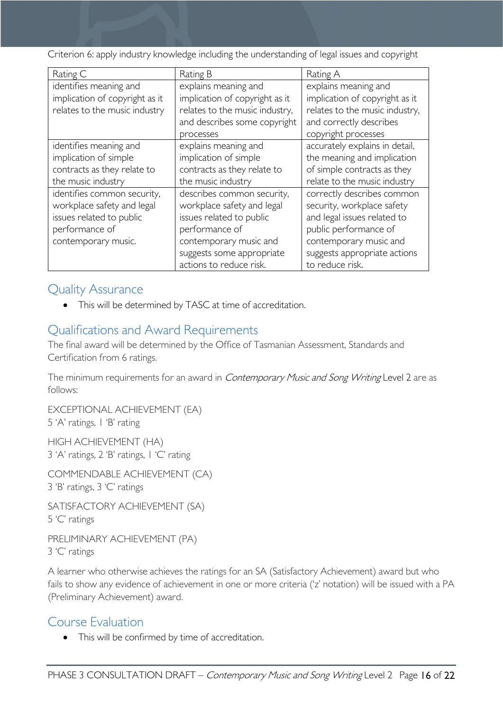Criterion 6: apply industry knowledge including the understanding of legal issues and copyright

| Rating C                                             | Rating B                       | Rating A                       |  |
|------------------------------------------------------|--------------------------------|--------------------------------|--|
| identifies meaning and                               | explains meaning and           | explains meaning and           |  |
| implication of copyright as it                       | implication of copyright as it | implication of copyright as it |  |
| relates to the music industry                        | relates to the music industry, | relates to the music industry, |  |
|                                                      | and describes some copyright   | and correctly describes        |  |
|                                                      | processes                      | copyright processes            |  |
| identifies meaning and                               | explains meaning and           | accurately explains in detail, |  |
| implication of simple                                | implication of simple          | the meaning and implication    |  |
| contracts as they relate to                          | contracts as they relate to    | of simple contracts as they    |  |
| the music industry<br>the music industry             |                                | relate to the music industry   |  |
| identifies common security,                          | describes common security,     | correctly describes common     |  |
| workplace safety and legal                           | workplace safety and legal     | security, workplace safety     |  |
| issues related to public<br>issues related to public |                                | and legal issues related to    |  |
| performance of                                       | performance of                 | public performance of          |  |
| contemporary music.                                  | contemporary music and         | contemporary music and         |  |
|                                                      | suggests some appropriate      | suggests appropriate actions   |  |
|                                                      | actions to reduce risk.        | to reduce risk.                |  |

# <span id="page-15-0"></span>Quality Assurance

• This will be determined by TASC at time of accreditation.

# <span id="page-15-1"></span>Qualifications and Award Requirements

The final award will be determined by the Office of Tasmanian Assessment, Standards and Certification from 6 ratings.

The minimum requirements for an award in *Contemporary Music and Song Writing* Level 2 are as follows:

EXCEPTIONAL ACHIEVEMENT (EA) 5 'A' ratings, 1 'B' rating

HIGH ACHIEVEMENT (HA) 3 'A' ratings, 2 'B' ratings, 1 'C' rating

COMMENDABLE ACHIEVEMENT (CA) 3 'B' ratings, 3 'C' ratings

SATISFACTORY ACHIEVEMENT (SA) 5 'C' ratings

PRELIMINARY ACHIEVEMENT (PA) 3 'C' ratings

A learner who otherwise achieves the ratings for an SA (Satisfactory Achievement) award but who fails to show any evidence of achievement in one or more criteria ('z' notation) will be issued with a PA (Preliminary Achievement) award.

# <span id="page-15-2"></span>Course Evaluation

This will be confirmed by time of accreditation.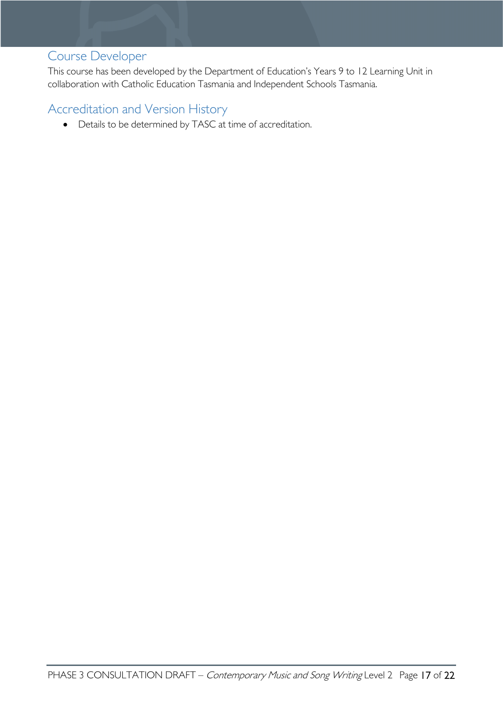# <span id="page-16-0"></span>Course Developer

This course has been developed by the Department of Education's Years 9 to 12 Learning Unit in collaboration with Catholic Education Tasmania and Independent Schools Tasmania.

# <span id="page-16-1"></span>Accreditation and Version History

• Details to be determined by TASC at time of accreditation.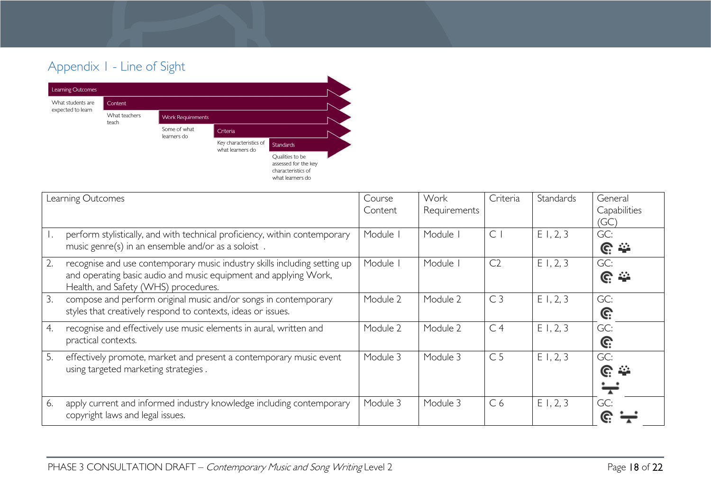# Appendix 1 - Line of Sight



<span id="page-17-0"></span>

|    | Learning Outcomes                                                                                                                                                                     | Course<br>Content | Work<br>Requirements | Criteria       | Standards   | General<br>Capabilities<br>(GC) |
|----|---------------------------------------------------------------------------------------------------------------------------------------------------------------------------------------|-------------------|----------------------|----------------|-------------|---------------------------------|
|    | perform stylistically, and with technical proficiency, within contemporary<br>music genre(s) in an ensemble and/or as a soloist.                                                      | Module I          | Module               | $\mathsf{C}$   | E1, 2, 3    | GC:<br><u>ଙ୍</u>                |
| 2. | recognise and use contemporary music industry skills including setting up<br>and operating basic audio and music equipment and applying Work,<br>Health, and Safety (WHS) procedures. | Module I          | Module               | C <sub>2</sub> | E1, 2, 3    | GC:<br><u>ଙ</u> ୍କ              |
| 3. | compose and perform original music and/or songs in contemporary<br>styles that creatively respond to contexts, ideas or issues.                                                       | Module 2          | Module 2             | C <sub>3</sub> | E1, 2, 3    | GC:<br>G:                       |
| 4. | recognise and effectively use music elements in aural, written and<br>practical contexts.                                                                                             | Module 2          | Module 2             | C <sub>4</sub> | E1, 2, 3    | GC:<br>G:                       |
| 5. | effectively promote, market and present a contemporary music event<br>using targeted marketing strategies.                                                                            | Module 3          | Module 3             | C <sub>5</sub> | E1, 2, 3    | GC:<br><u>େ କ</u>               |
| 6. | apply current and informed industry knowledge including contemporary<br>copyright laws and legal issues.                                                                              | Module 3          | Module 3             | C <sub>6</sub> | $E$ 1, 2, 3 | GC:                             |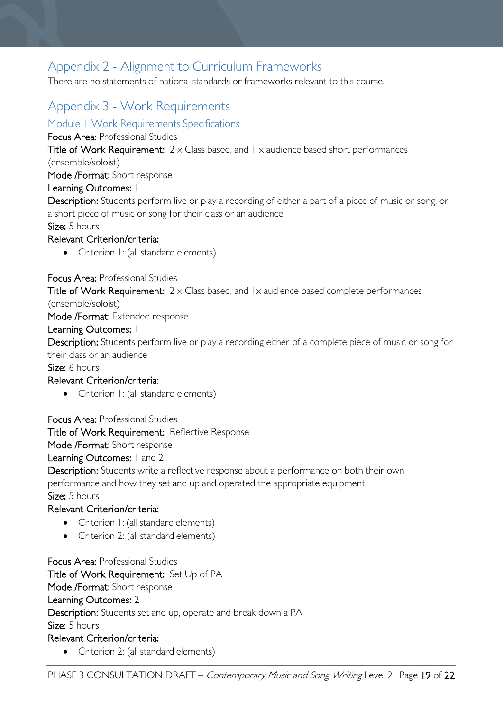# <span id="page-18-0"></span>Appendix 2 - Alignment to Curriculum Frameworks

There are no statements of national standards or frameworks relevant to this course.

# <span id="page-18-1"></span>Appendix 3 - Work Requirements

### <span id="page-18-2"></span>Module 1 Work Requirements Specifications

Focus Area: Professional Studies

Title of Work Requirement:  $2 \times$  Class based, and  $1 \times$  audience based short performances

(ensemble/soloist)

Mode /Format: Short response

#### Learning Outcomes: 1

Description: Students perform live or play a recording of either a part of a piece of music or song, or a short piece of music or song for their class or an audience

Size: 5 hours

#### Relevant Criterion/criteria:

• Criterion I: (all standard elements)

Focus Area: Professional Studies

Title of Work Requirement:  $2 \times$  Class based, and  $1 \times$  audience based complete performances

(ensemble/soloist)

Mode /Format: Extended response

#### Learning Outcomes: 1

Description: Students perform live or play a recording either of a complete piece of music or song for their class or an audience

Size: 6 hours

#### Relevant Criterion/criteria:

• Criterion I: (all standard elements)

Focus Area: Professional Studies

Title of Work Requirement: Reflective Response

Mode /Format: Short response

#### Learning Outcomes: I and 2

Description: Students write a reflective response about a performance on both their own performance and how they set and up and operated the appropriate equipment

Size: 5 hours

### Relevant Criterion/criteria:

- Criterion 1: (all standard elements)
- Criterion 2: (all standard elements)

Focus Area: Professional Studies Title of Work Requirement: Set Up of PA Mode /Format: Short response Learning Outcomes: 2 Description: Students set and up, operate and break down a PA Size: 5 hours Relevant Criterion/criteria:

• Criterion 2: (all standard elements)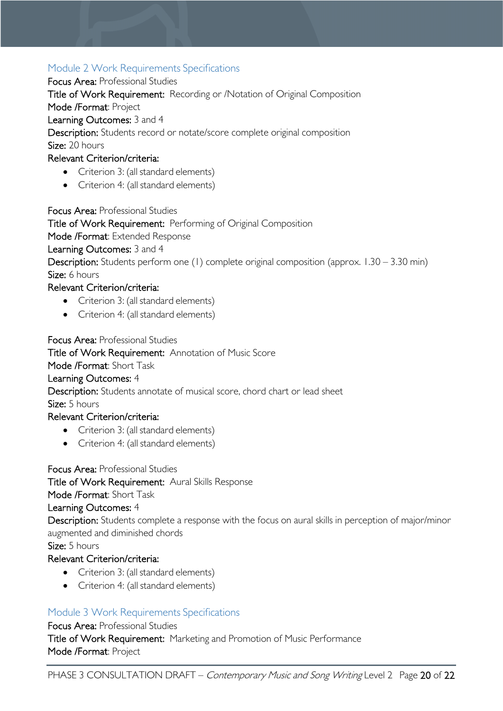### <span id="page-19-0"></span>Module 2 Work Requirements Specifications

Focus Area: Professional Studies

Title of Work Requirement: Recording or /Notation of Original Composition

Mode /Format: Project

Learning Outcomes: 3 and 4

Description: Students record or notate/score complete original composition Size: 20 hours

### Relevant Criterion/criteria:

- Criterion 3: (all standard elements)
- Criterion 4: (all standard elements)

Focus Area: Professional Studies

Title of Work Requirement: Performing of Original Composition

Mode /Format: Extended Response

Learning Outcomes: 3 and 4

Description: Students perform one (1) complete original composition (approx. 1.30 – 3.30 min) Size: 6 hours

### Relevant Criterion/criteria:

- Criterion 3: (all standard elements)
- Criterion 4: (all standard elements)

Focus Area: Professional Studies

Title of Work Requirement: Annotation of Music Score

#### Mode /Format: Short Task

#### Learning Outcomes: 4

Description: Students annotate of musical score, chord chart or lead sheet

Size: 5 hours

### Relevant Criterion/criteria:

- Criterion 3: (all standard elements)
- Criterion 4: (all standard elements)

Focus Area: Professional Studies

Title of Work Requirement: Aural Skills Response

Mode /Format: Short Task

Learning Outcomes: 4

Description: Students complete a response with the focus on aural skills in perception of major/minor augmented and diminished chords

Size: 5 hours

### Relevant Criterion/criteria:

- Criterion 3: (all standard elements)
- Criterion 4: (all standard elements)

## <span id="page-19-1"></span>Module 3 Work Requirements Specifications

Focus Area: Professional Studies Title of Work Requirement: Marketing and Promotion of Music Performance Mode /Format: Project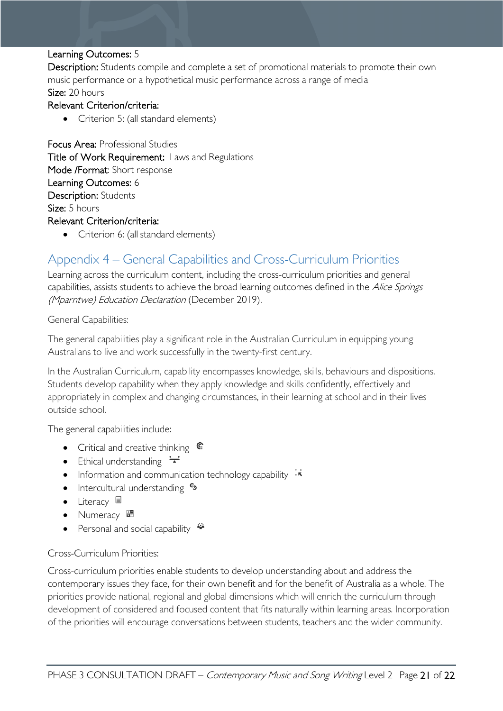#### Learning Outcomes: 5

Description: Students compile and complete a set of promotional materials to promote their own music performance or a hypothetical music performance across a range of media Size: 20 hours

#### Relevant Criterion/criteria:

• Criterion 5: (all standard elements)

Focus Area: Professional Studies Title of Work Requirement: Laws and Regulations Mode /Format: Short response Learning Outcomes: 6 Description: Students Size: 5 hours Relevant Criterion/criteria:

• Criterion 6: (all standard elements)

# <span id="page-20-0"></span>Appendix 4 – General Capabilities and Cross-Curriculum Priorities

Learning across the curriculum content, including the cross-curriculum priorities and general capabilities, assists students to achieve the broad learning outcomes defined in the Alice Springs (Mparntwe) Education Declaration (December 2019).

General Capabilities:

The general capabilities play a significant role in the Australian Curriculum in equipping young Australians to live and work successfully in the twenty-first century.

In the Australian Curriculum, capability encompasses knowledge, skills, behaviours and dispositions. Students develop capability when they apply knowledge and skills confidently, effectively and appropriately in complex and changing circumstances, in their learning at school and in their lives outside school.

The general capabilities include:

- Critical and creative thinking  $\mathbb{C}$
- Ethical understanding  $\div$
- Information and communication technology capability  $\cdot \star$
- Intercultural understanding •
- Literacy  $\blacksquare$
- Numeracy
- Personal and social capability  $\ddot{\ddot{}}$

#### Cross-Curriculum Priorities:

Cross-curriculum priorities enable students to develop understanding about and address the contemporary issues they face, for their own benefit and for the benefit of Australia as a whole. The priorities provide national, regional and global dimensions which will enrich the curriculum through development of considered and focused content that fits naturally within learning areas. Incorporation of the priorities will encourage conversations between students, teachers and the wider community.